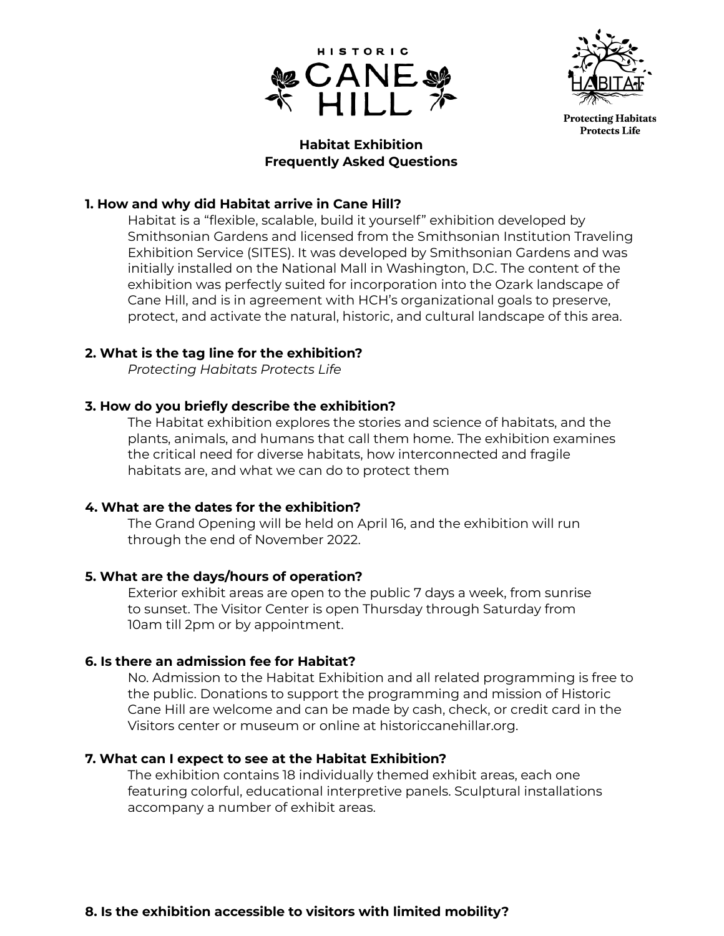



# **Habitat Exhibition Frequently Asked Questions**

# **1. How and why did Habitat arrive in Cane Hill?**

Habitat is a "flexible, scalable, build it yourself" exhibition developed by Smithsonian Gardens and licensed from the Smithsonian Institution Traveling Exhibition Service (SITES). It was developed by Smithsonian Gardens and was initially installed on the National Mall in Washington, D.C. The content of the exhibition was perfectly suited for incorporation into the Ozark landscape of Cane Hill, and is in agreement with HCH's organizational goals to preserve, protect, and activate the natural, historic, and cultural landscape of this area.

## **2. What is the tag line for the exhibition?**

*Protecting Habitats Protects Life*

## **3. How do you briefly describe the exhibition?**

The Habitat exhibition explores the stories and science of habitats, and the plants, animals, and humans that call them home. The exhibition examines the critical need for diverse habitats, how interconnected and fragile habitats are, and what we can do to protect them

### **4. What are the dates for the exhibition?**

The Grand Opening will be held on April 16, and the exhibition will run through the end of November 2022.

### **5. What are the days/hours of operation?**

Exterior exhibit areas are open to the public 7 days a week, from sunrise to sunset. The Visitor Center is open Thursday through Saturday from 10am till 2pm or by appointment.

### **6. Is there an admission fee for Habitat?**

No. Admission to the Habitat Exhibition and all related programming is free to the public. Donations to support the programming and mission of Historic Cane Hill are welcome and can be made by cash, check, or credit card in the Visitors center or museum or online at historiccanehillar.org.

### **7. What can I expect to see at the Habitat Exhibition?**

The exhibition contains 18 individually themed exhibit areas, each one featuring colorful, educational interpretive panels. Sculptural installations accompany a number of exhibit areas.